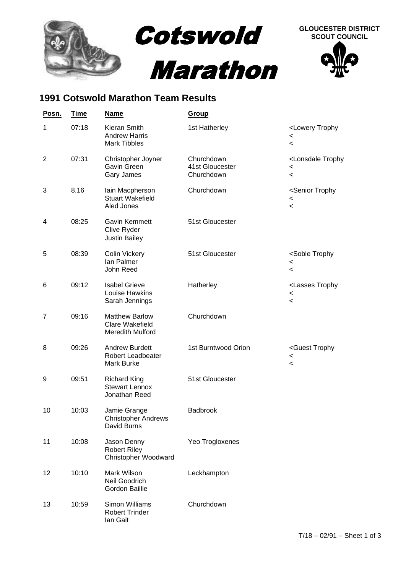

## **1991 Cotswold Marathon Team Results**

| <u>Posn.</u>   | <u>Time</u> | <b>Name</b>                                                         | Group                                       |                                                                                                |
|----------------|-------------|---------------------------------------------------------------------|---------------------------------------------|------------------------------------------------------------------------------------------------|
| 1              | 07:18       | Kieran Smith<br><b>Andrew Harris</b><br><b>Mark Tibbles</b>         | 1st Hatherley                               | <lowery trophy<br=""><math>\,&lt;</math><br/><math>\prec</math></lowery>                       |
| $\overline{2}$ | 07:31       | Christopher Joyner<br>Gavin Green<br>Gary James                     | Churchdown<br>41st Gloucester<br>Churchdown | <lonsdale trophy<br=""><math>\,&lt;</math><br/><math display="inline">\,&lt;</math></lonsdale> |
| 3              | 8.16        | lain Macpherson<br><b>Stuart Wakefield</b><br>Aled Jones            | Churchdown                                  | <senior trophy<br=""><math>\,&lt;\,</math><br/><math display="inline">\,&lt;</math></senior>   |
| 4              | 08:25       | Gavin Kemmett<br>Clive Ryder<br><b>Justin Bailey</b>                | 51st Gloucester                             |                                                                                                |
| 5              | 08:39       | Colin Vickery<br>lan Palmer<br>John Reed                            | 51st Gloucester                             | <soble trophy<br=""><math>\,&lt;</math><br/><math>\,&lt;</math></soble>                        |
| 6              | 09:12       | <b>Isabel Grieve</b><br>Louise Hawkins<br>Sarah Jennings            | Hatherley                                   | <lasses trophy<br=""><math>\,&lt;\,</math><br/><math display="inline">\,&lt;</math></lasses>   |
| 7              | 09:16       | <b>Matthew Barlow</b><br><b>Clare Wakefield</b><br>Meredith Mulford | Churchdown                                  |                                                                                                |
| 8              | 09:26       | <b>Andrew Burdett</b><br><b>Robert Leadbeater</b><br>Mark Burke     | 1st Burntwood Orion                         | <guest trophy<br=""><math>\,&lt;</math><br/><math>\,&lt;\,</math></guest>                      |
| 9              | 09:51       | <b>Richard King</b><br><b>Stewart Lennox</b><br>Jonathan Reed       | 51st Gloucester                             |                                                                                                |
| 10             | 10:03       | Jamie Grange<br><b>Christopher Andrews</b><br>David Burns           | <b>Badbrook</b>                             |                                                                                                |
| 11             | 10:08       | Jason Denny<br><b>Robert Riley</b><br>Christopher Woodward          | Yeo Trogloxenes                             |                                                                                                |
| 12             | 10:10       | Mark Wilson<br>Neil Goodrich<br><b>Gordon Baillie</b>               | Leckhampton                                 |                                                                                                |
| 13             | 10:59       | Simon Williams<br><b>Robert Trinder</b><br>lan Gait                 | Churchdown                                  |                                                                                                |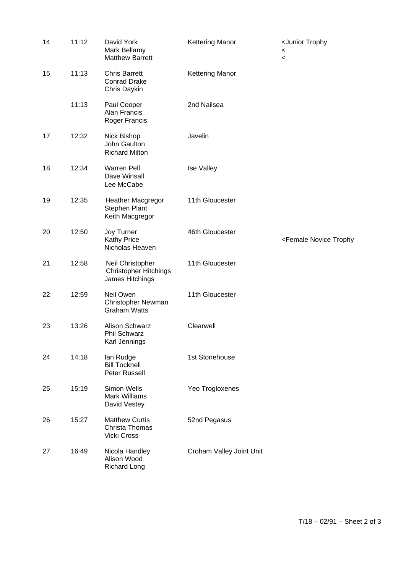| 14 | 11:12 | David York<br>Mark Bellamy<br><b>Matthew Barrett</b>                | <b>Kettering Manor</b>   | <junior trophy<br=""><math>\,&lt;\,</math><br/><math>\prec</math></junior> |
|----|-------|---------------------------------------------------------------------|--------------------------|----------------------------------------------------------------------------|
| 15 | 11:13 | <b>Chris Barrett</b><br><b>Conrad Drake</b><br>Chris Daykin         | <b>Kettering Manor</b>   |                                                                            |
|    | 11:13 | Paul Cooper<br>Alan Francis<br>Roger Francis                        | 2nd Nailsea              |                                                                            |
| 17 | 12:32 | Nick Bishop<br>John Gaulton<br><b>Richard Milton</b>                | Javelin                  |                                                                            |
| 18 | 12:34 | <b>Warren Pell</b><br>Dave Winsall<br>Lee McCabe                    | <b>Ise Valley</b>        |                                                                            |
| 19 | 12:35 | Heather Macgregor<br>Stephen Plant<br>Keith Macgregor               | 11th Gloucester          |                                                                            |
| 20 | 12:50 | Joy Turner<br>Kathy Price<br>Nicholas Heaven                        | 46th Gloucester          | <female novice="" td="" trophy<=""></female>                               |
| 21 | 12:58 | Neil Christopher<br><b>Christopher Hitchings</b><br>James Hitchings | 11th Gloucester          |                                                                            |
| 22 | 12:59 | Neil Owen<br>Christopher Newman<br><b>Graham Watts</b>              | 11th Gloucester          |                                                                            |
| 23 | 13:26 | Alison Schwarz<br>Phil Schwarz<br>Karl Jennings                     | Clearwell                |                                                                            |
| 24 | 14:18 | lan Rudge<br><b>Bill Tocknell</b><br>Peter Russell                  | 1st Stonehouse           |                                                                            |
| 25 | 15:19 | Simon Wells<br><b>Mark Williams</b><br>David Vestey                 | Yeo Trogloxenes          |                                                                            |
| 26 | 15:27 | <b>Matthew Curtis</b><br>Christa Thomas<br>Vicki Cross              | 52nd Pegasus             |                                                                            |
| 27 | 16:49 | Nicola Handley<br>Alison Wood<br><b>Richard Long</b>                | Croham Valley Joint Unit |                                                                            |